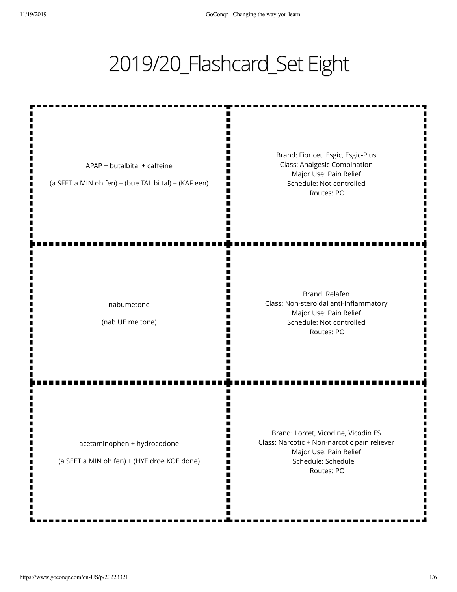## 2019/20\_Flashcard\_Set Eight

m

W m M

m

N٢

ш

m I٢ II m Ш Ш П m

APAP + butalbital + caffeine

(a SEET a MIN oh fen) + (bue TAL bi tal) + (KAF een)

Brand: Fioricet, Esgic, Esgic-Plus Class: Analgesic Combination Major Use: Pain Relief Schedule: Not controlled Routes: PO

nabumetone

(nab UE me tone)

Brand: Relafen Class: Non-steroidal anti-inflammatory Major Use: Pain Relief Schedule: Not controlled Routes: PO

acetaminophen + hydrocodone

(a SEET a MIN oh fen) + (HYE droe KOE done)

Brand: Lorcet, Vicodine, Vicodin ES Class: Narcotic + Non-narcotic pain reliever Major Use: Pain Relief Schedule: Schedule II Routes: PO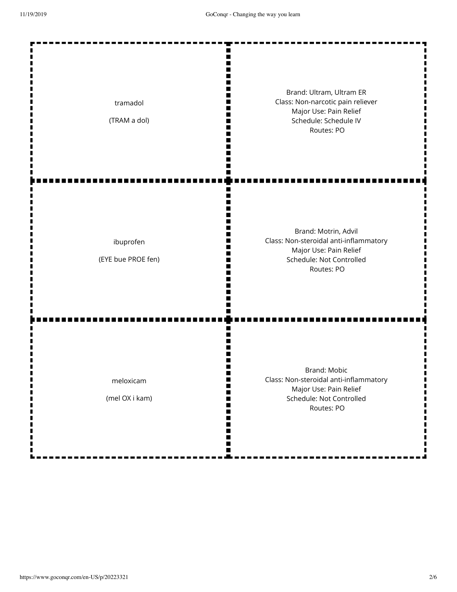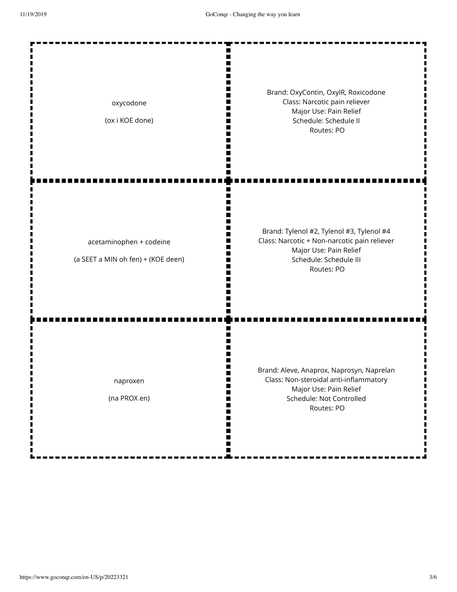| oxycodone<br>(ox i KOE done)                                  | Brand: OxyContin, OxylR, Roxicodone<br>Class: Narcotic pain reliever<br>Major Use: Pain Relief<br>Schedule: Schedule II<br>Routes: PO                       |
|---------------------------------------------------------------|-------------------------------------------------------------------------------------------------------------------------------------------------------------|
| acetaminophen + codeine<br>(a SEET a MIN oh fen) + (KOE deen) | Brand: Tylenol #2, Tylenol #3, Tylenol #4<br>Class: Narcotic + Non-narcotic pain reliever<br>Major Use: Pain Relief<br>Schedule: Schedule III<br>Routes: PO |
| naproxen<br>(na PROX en)                                      | Brand: Aleve, Anaprox, Naprosyn, Naprelan<br>Class: Non-steroidal anti-inflammatory<br>Major Use: Pain Relief<br>Schedule: Not Controlled<br>Routes: PO     |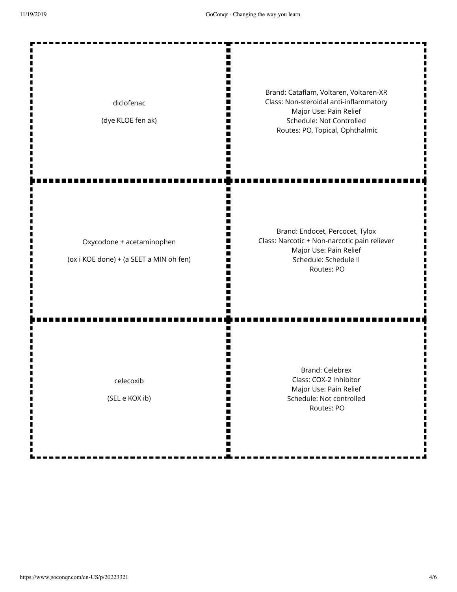Ш Ш m П Brand: Cataflam, Voltaren, Voltaren-XR П Class: Non-steroidal anti-inflammatory diclofenac m Major Use: Pain Relief n (dye KLOE fen ak) Schedule: Not Controlled W m Routes: PO, Topical, Ophthalmic Ш П ш Brand: Endocet, Percocet, Tylox Class: Narcotic + Non-narcotic pain reliever Oxycodone + acetaminophen Major Use: Pain Relief I٢ (ox i KOE done) + (a SEET a MIN oh fen) Schedule: Schedule II Routes: PO Ш n Brand: Celebrex Class: COX-2 Inhibitor celecoxib П m Major Use: Pain Relief (SEL e KOX ib) II. Schedule: Not controlled Ш Routes: POШ Ш п ш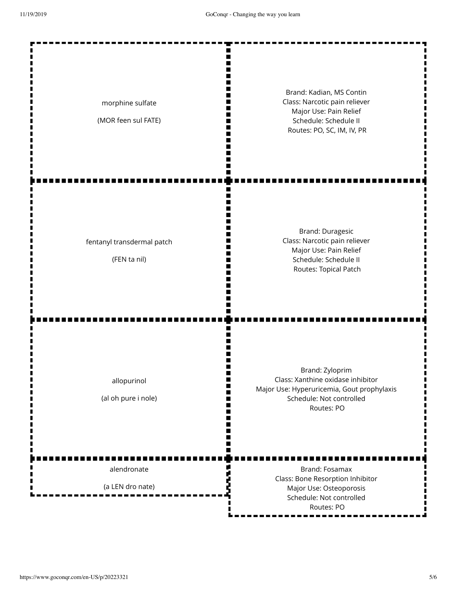| morphine sulfate<br>(MOR feen sul FATE)         | Brand: Kadian, MS Contin<br>Class: Narcotic pain reliever<br>Major Use: Pain Relief<br>Schedule: Schedule II<br>Routes: PO, SC, IM, IV, PR   |
|-------------------------------------------------|----------------------------------------------------------------------------------------------------------------------------------------------|
| ш<br>fentanyl transdermal patch<br>(FEN ta nil) | <b>Brand: Duragesic</b><br>Class: Narcotic pain reliever<br>Major Use: Pain Relief<br>Schedule: Schedule II<br>Routes: Topical Patch         |
| allopurinol<br>(al oh pure i nole)              | Brand: Zyloprim<br>Class: Xanthine oxidase inhibitor<br>Major Use: Hyperuricemia, Gout prophylaxis<br>Schedule: Not controlled<br>Routes: PO |
| alendronate<br>(a LEN dro nate)                 | Brand: Fosamax<br>Class: Bone Resorption Inhibitor<br>Major Use: Osteoporosis<br>Schedule: Not controlled<br>Routes: PO                      |